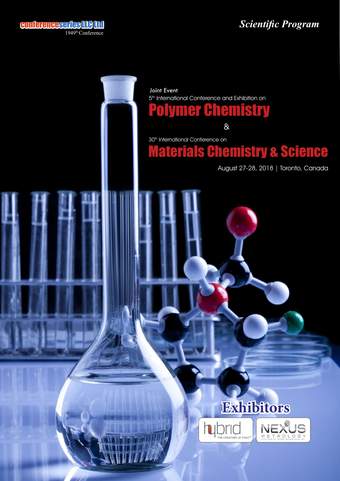## *Scientific Program*



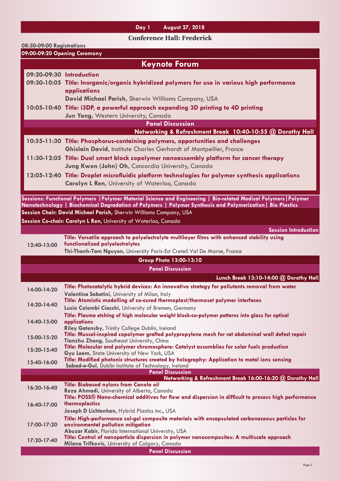## **Day 1 August 27, 2018**

**Conference Hall: Frederick**

| 08:30-09:00 Registrations    |                                                                                                                                                                                                                                                                                                       |  |
|------------------------------|-------------------------------------------------------------------------------------------------------------------------------------------------------------------------------------------------------------------------------------------------------------------------------------------------------|--|
| 09:00-09:20 Opening Ceremony |                                                                                                                                                                                                                                                                                                       |  |
| <b>Keynote Forum</b>         |                                                                                                                                                                                                                                                                                                       |  |
|                              | 09:20-09:30 Introduction<br>09:30-10:05 Title: Inorganic/organic hybridized polymers for use in various high performance<br>applications                                                                                                                                                              |  |
|                              | David Michael Parish, Sherwin Williams Company, USA<br>10:05-10:40 Title: i3DP, a powerful approach expanding 3D printing to 4D printing<br>Jun Yang, Western University, Canada                                                                                                                      |  |
|                              | <b>Panel Discussion</b>                                                                                                                                                                                                                                                                               |  |
|                              | Networking & Refreshment Break 10:40-10:55 @ Dorothy Hall                                                                                                                                                                                                                                             |  |
|                              | 10:55-11:30 Title: Phosphorus-containing polymers, opportunities and challenges<br><b>Ghislain David, Institute Charles Gerhardt of Montpellier, France</b>                                                                                                                                           |  |
|                              | 11:30-12:05 Title: Dual smart block copolymer nanoassembly platform for cancer therapy                                                                                                                                                                                                                |  |
|                              | Jung Kwon (John) Oh, Concordia University, Canada                                                                                                                                                                                                                                                     |  |
|                              | 12:05-12:40 Title: Droplet microfluidic platform technologies for polymer synthesis applications<br><b>Carolyn L Ren, University of Waterloo, Canada</b>                                                                                                                                              |  |
|                              |                                                                                                                                                                                                                                                                                                       |  |
|                              | Sessions: Functional Polymers   Polymer Material Science and Engineering   Bio-related Medical Polymers   Polymer<br>Nanotechnology   Biochemical Degradation of Polymers   Polymer Synthesis and Polymerization   Bio Plastics<br>Session Chair: David Michael Parish, Sherwin Williams Company, USA |  |
|                              | Session Co-chair: Carolyn L Ren, University of Waterloo, Canada                                                                                                                                                                                                                                       |  |
|                              | <b>Session Introduction</b>                                                                                                                                                                                                                                                                           |  |
| 12:40-13:00                  | Title: Versatile approach to polyelectrolyte multilayer films with enhanced stability using<br>functionalized polyelectrolytes<br>Thi-Thanh-Tam Nguyen, University Paris-Est Creteil Val De Marne, France                                                                                             |  |
|                              | Group Photo 13:00-13:10                                                                                                                                                                                                                                                                               |  |
|                              | <b>Panel Discussion</b>                                                                                                                                                                                                                                                                               |  |
|                              | Lunch Break 13:10-14:00 @ Dorothy Hall                                                                                                                                                                                                                                                                |  |
| 14:00-14:20                  | Title: Photocatalytic hybrid devices: An innovative strategy for pollutants removal from water<br>Valentina Sabatini, University of Milan, Italy                                                                                                                                                      |  |
| 14:20-14:40                  | Title: Atomistic modelling of co-cured thermoplast/thermoset polymer interfaces<br>Lucio Colombi Ciacchi, University of Bremen, Germany                                                                                                                                                               |  |
| 14:40-15:00                  | Title: Plasma etching of high molecular weight block-co-polymer patterns into glass for optical<br>applications<br>Riley Gatensby, Trinity College Dublin, Ireland                                                                                                                                    |  |
| 15:00-15:20                  | Title: Mussel-inspired copolymer grafted polypropylene mesh for rat abdominal wall defect repair                                                                                                                                                                                                      |  |
| 15:20-15:40                  | Tianzhu Zhang, Southeast University, China<br>Title: Molecular and polymer chromosphere: Catalyst assemblies for solar fuels production<br>Gyu Leem, State University of New York, USA                                                                                                                |  |
| 15:40-16:00                  | Title: Modified photonic structures created by holography: Application to metal ions sensing<br>Sabad-e-Gul, Dublin Institute of Technology, Ireland                                                                                                                                                  |  |
|                              | <b>Panel Discussion</b>                                                                                                                                                                                                                                                                               |  |
| 16:20-16:40                  | Networking & Refreshment Break 16:00-16:20 @ Dorothy Hall<br><b>Title: Biobased nylons from Canola oil</b><br>Reza Ahmadi, University of Alberta, Canada                                                                                                                                              |  |
| 16:40-17:00                  | Title: POSS® Nano-chemical additives for flow and dispersion in difficult to process high performance<br>thermoplastics<br>Joseph D Lichtenhan, Hybrid Plastics Inc., USA                                                                                                                             |  |
|                              | Title: High-performance sol-gel composite materials with encapsulated carbonaceous particles for                                                                                                                                                                                                      |  |
| 17:00-17:20                  | environmental pollution mitigation<br>Abuzar Kabir, Florida International University, USA                                                                                                                                                                                                             |  |
| 17:20-17:40                  | Title: Control of nanoparticle dispersion in polymer nanocomposites: A multiscale approach<br>Milana Trifkovic, University of Calgary, Canada<br><b>Panel Discussion</b>                                                                                                                              |  |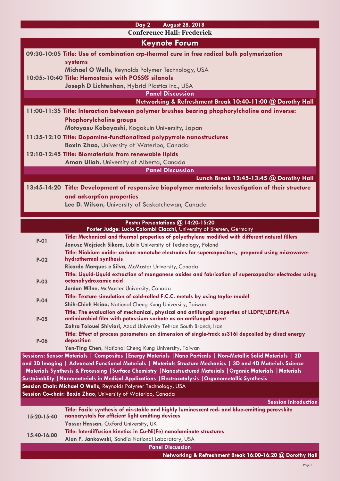| <b>August 28, 2018</b><br>Day 2                                                                                                                       |  |  |
|-------------------------------------------------------------------------------------------------------------------------------------------------------|--|--|
| <b>Conference Hall: Frederick</b>                                                                                                                     |  |  |
| <b>Keynote Forum</b>                                                                                                                                  |  |  |
| 09:30-10:05 Title: Use of combination crp-thermal cure in free radical bulk polymerization                                                            |  |  |
| systems                                                                                                                                               |  |  |
| Michael O Wells, Reynolds Polymer Technology, USA<br>10:05:-10:40 Title: Hemostasis with POSS® silanols                                               |  |  |
| Joseph D Lichtenhan, Hybrid Plastics Inc., USA                                                                                                        |  |  |
| <b>Panel Discussion</b>                                                                                                                               |  |  |
| Networking & Refreshment Break 10:40-11:00 @ Dorothy Hall                                                                                             |  |  |
| 11:00-11:35 Title: Interaction between polymer brushes bearing phophorylcholine and inverse:                                                          |  |  |
| <b>Phophorylcholine groups</b>                                                                                                                        |  |  |
| Motoyasu Kobayashi, Kogakuin University, Japan                                                                                                        |  |  |
| 11:35-12:10 Title: Dopamine-functionalized polypyrrole nanostructures                                                                                 |  |  |
| Boxin Zhao, University of Waterloo, Canada                                                                                                            |  |  |
| 12:10-12:45 Title: Biomaterials from renewable lipids                                                                                                 |  |  |
| Aman Ullah, University of Alberta, Canada                                                                                                             |  |  |
| <b>Panel Discussion</b>                                                                                                                               |  |  |
| Lunch Break 12:45-13:45 @ Dorothy Hall                                                                                                                |  |  |
| 13:45-14:20 Title: Development of responsive biopolymer materials: Investigation of their structure                                                   |  |  |
| and adsorption properties                                                                                                                             |  |  |
| Lee D. Wilson, University of Saskatchewan, Canada                                                                                                     |  |  |
| Poster Presentations @ 14:20-15:20                                                                                                                    |  |  |
| Poster Judge: Lucio Colombi Ciacchi, University of Bremen, Germany                                                                                    |  |  |
| Title: Mechanical and thermal properties of polyethylene modified with different natural fillers<br>$P-01$                                            |  |  |
| Janusz Wojciech Sikora, Lublin University of Technology, Poland                                                                                       |  |  |
| Title: Niobium oxide- carbon nanotube electrodes for supercapacitors, prepared using microwave-<br>hydrothermal synthesis<br>$P-02$                   |  |  |
| Ricardo Marques e Silva, McMaster University, Canada                                                                                                  |  |  |
| Title: Liquid-Liquid extraction of manganese oxides and fabrication of supercapacitor electrodes using                                                |  |  |
| octanohydroxamic acid<br>$P-03$                                                                                                                       |  |  |
| Jordan Milne, McMaster University, Canada                                                                                                             |  |  |
| Title: Texture simulation of cold-rolled F.C.C. metals by using taylor model<br>$P - O4$                                                              |  |  |
| Shih-Chieh Hsiao, National Cheng Kung University, Taiwan<br>Title: The evaluation of mechanical, physical and antifungal properties of LLDPE/LDPE/PLA |  |  |
| antimicrobial film with potassium sorbate as an antifungal agent<br>$P-05$                                                                            |  |  |
| Zahra Tolouei Shiviari, Azad University Tehran South Branch, Iran                                                                                     |  |  |
| Title: Effect of process parameters on dimension of single-track ss3161 deposited by direct energy                                                    |  |  |
| deposition<br><b>P-06</b><br>Yen-Ting Chen, National Cheng Kung University, Taiwan                                                                    |  |  |
| Sessions: Sensor Materials   Composites   Energy Materials   Nano Particals   Non-Metallic Solid Materials   2D                                       |  |  |
| and 3D Imaging   Advanced Functional Materials   Materials Structure Mechanics   3D and 4D Materials Science                                          |  |  |
| Materials Synthesis & Processing   Surface Chemistry   Nanostructured Materials   Organic Materials   Materials                                       |  |  |
| Sustainablity   Nanomaterials in Medical Applications   Electrocatalysis   Organometallic Synthesis                                                   |  |  |
| Session Chair: Michael O Wells, Reynolds Polymer Technology, USA                                                                                      |  |  |
| Session Co-chair: Boxin Zhao, University of Waterloo, Canada<br><b>Session Introduction</b>                                                           |  |  |
| Title: Facile synthesis of air-stable and highly luminescent red- and blue-emitting perovskite                                                        |  |  |
| nanocrystals for efficient light emitting devices<br>15:20-15:40                                                                                      |  |  |
| Yasser Hassan, Oxford University, UK                                                                                                                  |  |  |
| Title: Interdiffusion kinetics in Cu-Ni(Fe) nanolaminate structures<br>15:40-16:00                                                                    |  |  |
| Alan F. Jankowski, Sandia National Laboratory, USA<br><b>Panel Discussion</b>                                                                         |  |  |
| Networking & Refreshment Break 16:00-16:20 @ Dorothy Hall                                                                                             |  |  |